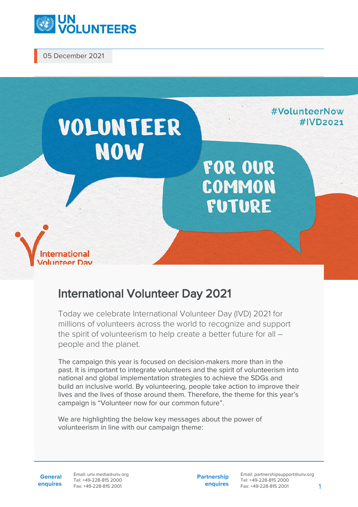

05 December 2021



## International Volunteer Day 2021

Today we celebrate International Volunteer Day (IVD) 2021 for millions of volunteers across the world to recognize and support the spirit of volunteerism to help create a better future for all – people and the planet.

The campaign this year is focused on decision-makers more than in the past. It is important to integrate volunteers and the spirit of volunteerism into national and global implementation strategies to achieve the SDGs and build an inclusive world. By volunteering, people take action to improve their lives and the lives of those around them. Therefore, the theme for this year's campaign is "Volunteer now for our common future".

We are highlighting the below key messages about the power of volunteerism in line with our campaign theme:

**General enquires** Email: unv.media@unv.org Tel: +49-228-815 2000 Fax: +49-228-815 2001

**Partnership enquires** Email: partnershipsupport@unv.org Tel: +49-228-815 2000 Fax: +49-228-815 2001 1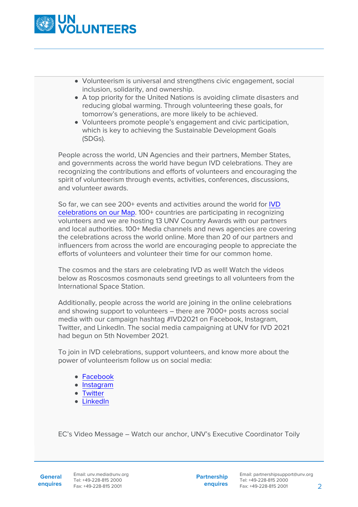

- Volunteerism is universal and strengthens civic engagement, social inclusion, solidarity, and ownership.
- A top priority for the United Nations is avoiding climate disasters and reducing global warming. Through volunteering these goals, for tomorrow's generations, are more likely to be achieved.
- Volunteers promote people's engagement and civic participation, which is key to achieving the Sustainable Development Goals (SDGs).

People across the world, UN Agencies and their partners, Member States, and governments across the world have begun IVD celebrations. They are recognizing the contributions and efforts of volunteers and encouraging the spirit of volunteerism through events, activities, conferences, discussions, and volunteer awards.

So far, we can see 200+ events and activities around the world for [IVD](https://www.google.com/maps/d/u/1/viewer?mid=1hZmifRhmztz9n_ickHEvQYLz4W_foY4z&ll=47.35238103761297%2C24.53271596783442&z=4) [celebrations on our Map](https://www.google.com/maps/d/u/1/viewer?mid=1hZmifRhmztz9n_ickHEvQYLz4W_foY4z&ll=47.35238103761297%2C24.53271596783442&z=4). 100+ countries are participating in recognizing volunteers and we are hosting 13 UNV Country Awards with our partners and local authorities. 100+ Media channels and news agencies are covering the celebrations across the world online. More than 20 of our partners and influencers from across the world are encouraging people to appreciate the efforts of volunteers and volunteer their time for our common home.

The cosmos and the stars are celebrating IVD as well! Watch the videos below as Roscosmos cosmonauts send greetings to all volunteers from the International Space Station.

Additionally, people across the world are joining in the online celebrations and showing support to volunteers – there are 7000+ posts across social media with our campaign hashtag #IVD2021 on Facebook, Instagram, Twitter, and LinkedIn. The social media campaigning at UNV for IVD 2021 had begun on 5th November 2021.

To join in IVD celebrations, support volunteers, and know more about the power of volunteerism follow us on social media:

- [Facebook](https://www.facebook.com/unvolunteers/posts/7048098915201028)
- [Instagram](https://www.instagram.com/tv/CW0qulQo6hS/)
- [Twitter](https://twitter.com/UNVolunteers/status/1465607785517883398)
- [LinkedIn](https://www.linkedin.com/company/united-nations-volunteers?trk=public_post_share-update_actor-image)

EC's Video Message – Watch our anchor, UNV's Executive Coordinator Toily

**Partnership enquires**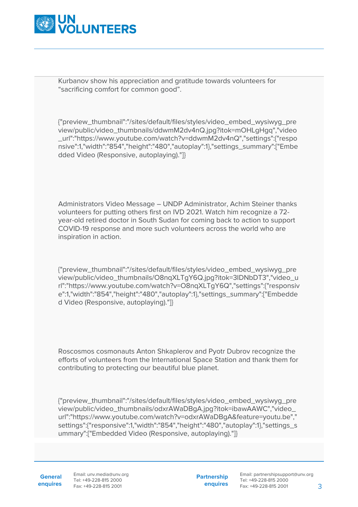

Kurbanov show his appreciation and gratitude towards volunteers for "sacrificing comfort for common good".

{"preview\_thumbnail":"/sites/default/files/styles/video\_embed\_wysiwyg\_pre view/public/video\_thumbnails/ddwmM2dv4nQ.jpg?itok=mOHLgHgq","video \_url":"https://www.youtube.com/watch?v=ddwmM2dv4nQ","settings":{"respo nsive":1,"width":"854","height":"480","autoplay":1},"settings\_summary":["Embe dded Video (Responsive, autoplaying)."]}

Administrators Video Message – UNDP Administrator, Achim Steiner thanks volunteers for putting others first on IVD 2021. Watch him recognize a 72 year-old retired doctor in South Sudan for coming back to action to support COVID-19 response and more such volunteers across the world who are inspiration in action.

{"preview\_thumbnail":"/sites/default/files/styles/video\_embed\_wysiwyg\_pre view/public/video\_thumbnails/O8nqXLTgY6Q.jpg?itok=3IDNbDT3","video\_u rl":"https://www.youtube.com/watch?v=O8nqXLTgY6Q","settings":{"responsiv e":1,"width":"854","height":"480","autoplay":1},"settings\_summary":["Embedde d Video (Responsive, autoplaying)."]}

Roscosmos cosmonauts Anton Shkaplerov and Pyotr Dubrov recognize the efforts of volunteers from the International Space Station and thank them for contributing to protecting our beautiful blue planet.

{"preview\_thumbnail":"/sites/default/files/styles/video\_embed\_wysiwyg\_pre view/public/video\_thumbnails/odxrAWaDBgA.jpg?itok=ibawAAWC","video\_ url":"https://www.youtube.com/watch?v=odxrAWaDBgA&feature=youtu.be"," settings":{"responsive":1,"width":"854","height":"480","autoplay":1},"settings\_s ummary":["Embedded Video (Responsive, autoplaying)."]}

**General enquires** Email: unv.media@unv.org Tel: +49-228-815 2000 Fax: +49-228-815 2001

**Partnership enquires**

Email: partnershipsupport@unv.org Tel: +49-228-815 2000 Fax: +49-228-815 2001 3